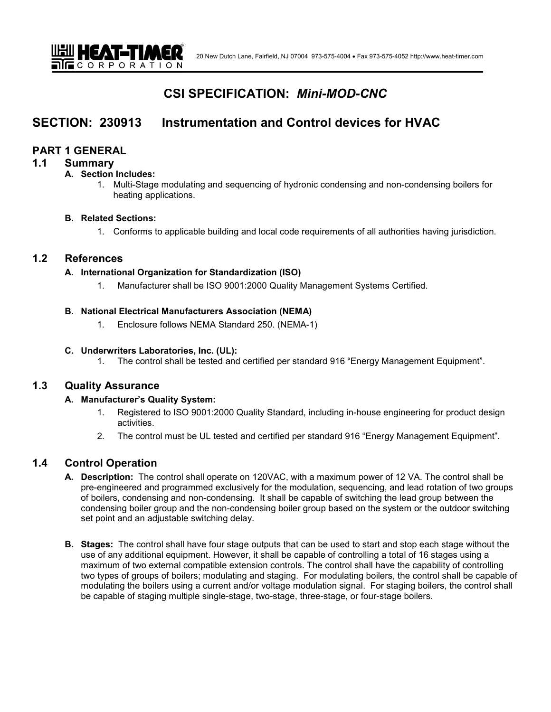# **CSI SPECIFICATION:** *Mini-MOD-CNC*

# **SECTION: 230913 Instrumentation and Control devices for HVAC**

## **PART 1 GENERAL**

#### **1.1 Summary**

#### **A. Section Includes:**

1. Multi-Stage modulating and sequencing of hydronic condensing and non-condensing boilers for heating applications.

#### **B. Related Sections:**

1. Conforms to applicable building and local code requirements of all authorities having jurisdiction.

# **1.2 References**

#### **A. International Organization for Standardization (ISO)**

1. Manufacturer shall be ISO 9001:2000 Quality Management Systems Certified.

#### **B. National Electrical Manufacturers Association (NEMA)**

1. Enclosure follows NEMA Standard 250. (NEMA-1)

#### **C. Underwriters Laboratories, Inc. (UL):**

1. The control shall be tested and certified per standard 916 "Energy Management Equipment".

# **1.3 Quality Assurance**

## **A. Manufacturer's Quality System:**

- 1. Registered to ISO 9001:2000 Quality Standard, including in-house engineering for product design activities.
- 2. The control must be UL tested and certified per standard 916 "Energy Management Equipment".

# **1.4 Control Operation**

- **A. Description:** The control shall operate on 120VAC, with a maximum power of 12 VA. The control shall be pre-engineered and programmed exclusively for the modulation, sequencing, and lead rotation of two groups of boilers, condensing and non-condensing. It shall be capable of switching the lead group between the condensing boiler group and the non-condensing boiler group based on the system or the outdoor switching set point and an adjustable switching delay.
- **B. Stages:** The control shall have four stage outputs that can be used to start and stop each stage without the use of any additional equipment. However, it shall be capable of controlling a total of 16 stages using a maximum of two external compatible extension controls. The control shall have the capability of controlling two types of groups of boilers; modulating and staging. For modulating boilers, the control shall be capable of modulating the boilers using a current and/or voltage modulation signal. For staging boilers, the control shall be capable of staging multiple single-stage, two-stage, three-stage, or four-stage boilers.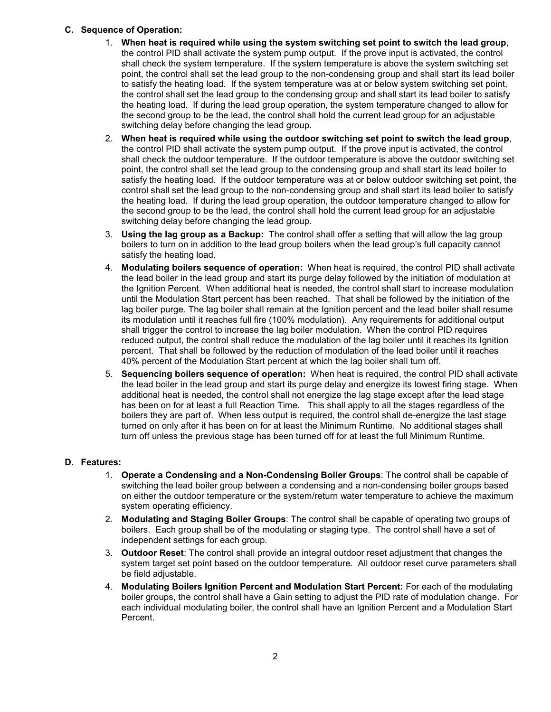## **C. Sequence of Operation:**

- 1. **When heat is required while using the system switching set point to switch the lead group**, the control PID shall activate the system pump output. If the prove input is activated, the control shall check the system temperature. If the system temperature is above the system switching set point, the control shall set the lead group to the non-condensing group and shall start its lead boiler to satisfy the heating load. If the system temperature was at or below system switching set point, the control shall set the lead group to the condensing group and shall start its lead boiler to satisfy the heating load. If during the lead group operation, the system temperature changed to allow for the second group to be the lead, the control shall hold the current lead group for an adjustable switching delay before changing the lead group.
- 2. **When heat is required while using the outdoor switching set point to switch the lead group**, the control PID shall activate the system pump output. If the prove input is activated, the control shall check the outdoor temperature. If the outdoor temperature is above the outdoor switching set point, the control shall set the lead group to the condensing group and shall start its lead boiler to satisfy the heating load. If the outdoor temperature was at or below outdoor switching set point, the control shall set the lead group to the non-condensing group and shall start its lead boiler to satisfy the heating load. If during the lead group operation, the outdoor temperature changed to allow for the second group to be the lead, the control shall hold the current lead group for an adjustable switching delay before changing the lead group.
- 3. **Using the lag group as a Backup:** The control shall offer a setting that will allow the lag group boilers to turn on in addition to the lead group boilers when the lead group's full capacity cannot satisfy the heating load.
- 4. **Modulating boilers sequence of operation:** When heat is required, the control PID shall activate the lead boiler in the lead group and start its purge delay followed by the initiation of modulation at the Ignition Percent. When additional heat is needed, the control shall start to increase modulation until the Modulation Start percent has been reached. That shall be followed by the initiation of the lag boiler purge. The lag boiler shall remain at the Ignition percent and the lead boiler shall resume its modulation until it reaches full fire (100% modulation). Any requirements for additional output shall trigger the control to increase the lag boiler modulation. When the control PID requires reduced output, the control shall reduce the modulation of the lag boiler until it reaches its Ignition percent. That shall be followed by the reduction of modulation of the lead boiler until it reaches 40% percent of the Modulation Start percent at which the lag boiler shall turn off.
- 5. **Sequencing boilers sequence of operation:** When heat is required, the control PID shall activate the lead boiler in the lead group and start its purge delay and energize its lowest firing stage. When additional heat is needed, the control shall not energize the lag stage except after the lead stage has been on for at least a full Reaction Time. This shall apply to all the stages regardless of the boilers they are part of. When less output is required, the control shall de-energize the last stage turned on only after it has been on for at least the Minimum Runtime. No additional stages shall turn off unless the previous stage has been turned off for at least the full Minimum Runtime.

## **D. Features:**

- 1. **Operate a Condensing and a Non-Condensing Boiler Groups**: The control shall be capable of switching the lead boiler group between a condensing and a non-condensing boiler groups based on either the outdoor temperature or the system/return water temperature to achieve the maximum system operating efficiency.
- 2. **Modulating and Staging Boiler Groups**: The control shall be capable of operating two groups of boilers. Each group shall be of the modulating or staging type. The control shall have a set of independent settings for each group.
- 3. **Outdoor Reset**: The control shall provide an integral outdoor reset adjustment that changes the system target set point based on the outdoor temperature. All outdoor reset curve parameters shall be field adjustable.
- 4. **Modulating Boilers Ignition Percent and Modulation Start Percent:** For each of the modulating boiler groups, the control shall have a Gain setting to adjust the PID rate of modulation change. For each individual modulating boiler, the control shall have an Ignition Percent and a Modulation Start Percent.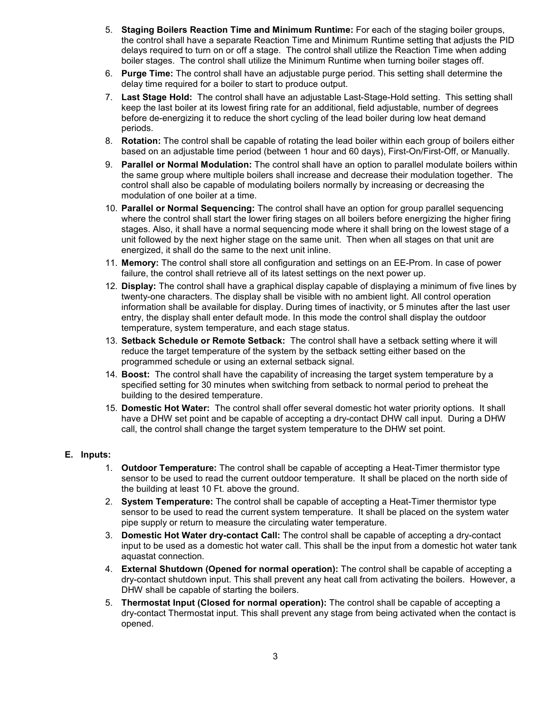- 5. **Staging Boilers Reaction Time and Minimum Runtime:** For each of the staging boiler groups, the control shall have a separate Reaction Time and Minimum Runtime setting that adjusts the PID delays required to turn on or off a stage. The control shall utilize the Reaction Time when adding boiler stages. The control shall utilize the Minimum Runtime when turning boiler stages off.
- 6. **Purge Time:** The control shall have an adjustable purge period. This setting shall determine the delay time required for a boiler to start to produce output.
- 7. **Last Stage Hold:** The control shall have an adjustable Last-Stage-Hold setting. This setting shall keep the last boiler at its lowest firing rate for an additional, field adjustable, number of degrees before de-energizing it to reduce the short cycling of the lead boiler during low heat demand periods.
- 8. **Rotation:** The control shall be capable of rotating the lead boiler within each group of boilers either based on an adjustable time period (between 1 hour and 60 days), First-On/First-Off, or Manually.
- 9. **Parallel or Normal Modulation:** The control shall have an option to parallel modulate boilers within the same group where multiple boilers shall increase and decrease their modulation together. The control shall also be capable of modulating boilers normally by increasing or decreasing the modulation of one boiler at a time.
- 10. **Parallel or Normal Sequencing:** The control shall have an option for group parallel sequencing where the control shall start the lower firing stages on all boilers before energizing the higher firing stages. Also, it shall have a normal sequencing mode where it shall bring on the lowest stage of a unit followed by the next higher stage on the same unit. Then when all stages on that unit are energized, it shall do the same to the next unit inline.
- 11. **Memory:** The control shall store all configuration and settings on an EE-Prom. In case of power failure, the control shall retrieve all of its latest settings on the next power up.
- 12. **Display:** The control shall have a graphical display capable of displaying a minimum of five lines by twenty-one characters. The display shall be visible with no ambient light. All control operation information shall be available for display. During times of inactivity, or 5 minutes after the last user entry, the display shall enter default mode. In this mode the control shall display the outdoor temperature, system temperature, and each stage status.
- 13. **Setback Schedule or Remote Setback:** The control shall have a setback setting where it will reduce the target temperature of the system by the setback setting either based on the programmed schedule or using an external setback signal.
- 14. **Boost:** The control shall have the capability of increasing the target system temperature by a specified setting for 30 minutes when switching from setback to normal period to preheat the building to the desired temperature.
- 15. **Domestic Hot Water:** The control shall offer several domestic hot water priority options. It shall have a DHW set point and be capable of accepting a dry-contact DHW call input. During a DHW call, the control shall change the target system temperature to the DHW set point.

#### **E. Inputs:**

- 1. **Outdoor Temperature:** The control shall be capable of accepting a Heat-Timer thermistor type sensor to be used to read the current outdoor temperature. It shall be placed on the north side of the building at least 10 Ft. above the ground.
- 2. **System Temperature:** The control shall be capable of accepting a Heat-Timer thermistor type sensor to be used to read the current system temperature. It shall be placed on the system water pipe supply or return to measure the circulating water temperature.
- 3. **Domestic Hot Water dry-contact Call:** The control shall be capable of accepting a dry-contact input to be used as a domestic hot water call. This shall be the input from a domestic hot water tank aquastat connection.
- 4. **External Shutdown (Opened for normal operation):** The control shall be capable of accepting a dry-contact shutdown input. This shall prevent any heat call from activating the boilers. However, a DHW shall be capable of starting the boilers.
- 5. **Thermostat Input (Closed for normal operation):** The control shall be capable of accepting a dry-contact Thermostat input. This shall prevent any stage from being activated when the contact is opened.